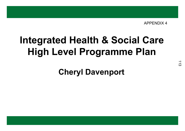# **Integrated Health & Social CareHigh Level Programme Plan**

**Cheryl Davenport**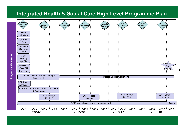#### **Integrated Health & Social Care High Level Programme Plan**



 $\frac{1}{4}$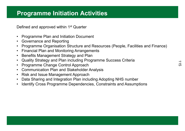### **Programme Initiation Activities**

Defined and approved within 1<sup>st</sup> Quarter

- Programme Plan and Initiation Document
- Governance and Reporting<br>• Pressence Organisation G
- •Programme Organisation Structure and Resources (People, Facilities and Finance)
- Financial Plan and Monitoring Arrangements<br>• Penefite Management Strategy and Plan
- •Benefits Management Strategy and Plan
- •Quality Strategy and Plan including Programme Success Criteria
- $\bullet$ Programme Change Control Approach
- Communication Plan and Stakeholder Analysis<br>• Disk and lasus Management Anarosah
- Risk and Issue Management Approach<br>• Dete Sharing and Integration Plan inclu
- $\bullet$ Data Sharing and Integration Plan including Adopting NHS number
- •Identify Cross Programme Dependencies, Constraints and Assumptions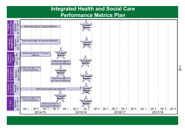#### **Integrated Health and Social CarePerformance Metrics Plan**

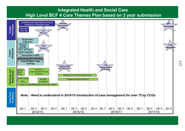

117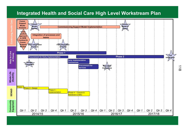#### **Integrated Health and Social Care High Level Workstream Plan**



 $\infty$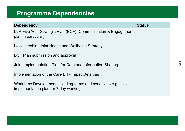## **Programme Dependencies**

| <b>Dependency</b>                                                                                        | <b>Status</b> |
|----------------------------------------------------------------------------------------------------------|---------------|
| LLR Five Year Strategic Plan (BCF) (Communication & Engagement<br>plan in particular)                    |               |
| Leicestershire Joint Health and Wellbeing Strategy                                                       |               |
| BCF Plan submission and approval                                                                         |               |
| Joint Implementation Plan for Data and Information Sharing                                               |               |
| Implementation of the Care Bill - Impact Analysis                                                        |               |
| Workforce Development including terms and conditions e.g. Joint<br>implementation plan for 7 day working |               |